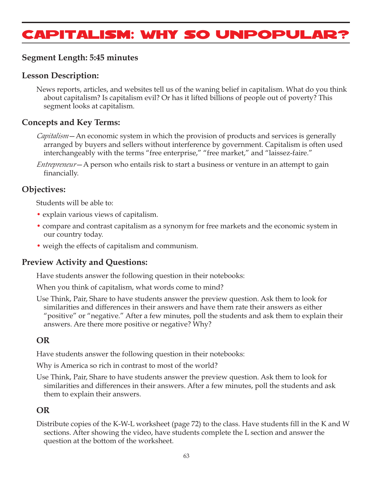# Capitalism: Why So Unpopular?

## **Segment Length: 5:45 minutes**

### **Lesson Description:**

News reports, articles, and websites tell us of the waning belief in capitalism. What do you think about capitalism? Is capitalism evil? Or has it lifted billions of people out of poverty? This segment looks at capitalism.

## **Concepts and Key Terms:**

- *Capitalism*—An economic system in which the provision of products and services is generally arranged by buyers and sellers without interference by government. Capitalism is often used interchangeably with the terms "free enterprise," "free market," and "laissez-faire."
- *Entrepreneur*—A person who entails risk to start a business or venture in an attempt to gain financially.

## **Objectives:**

Students will be able to:

- explain various views of capitalism.
- compare and contrast capitalism as a synonym for free markets and the economic system in our country today.
- weigh the effects of capitalism and communism.

## **Preview Activity and Questions:**

Have students answer the following question in their notebooks:

When you think of capitalism, what words come to mind?

Use Think, Pair, Share to have students answer the preview question. Ask them to look for similarities and differences in their answers and have them rate their answers as either "positive" or "negative." After a few minutes, poll the students and ask them to explain their answers. Are there more positive or negative? Why?

## **OR**

Have students answer the following question in their notebooks:

Why is America so rich in contrast to most of the world?

Use Think, Pair, Share to have students answer the preview question. Ask them to look for similarities and differences in their answers. After a few minutes, poll the students and ask them to explain their answers.

## **OR**

Distribute copies of the K-W-L worksheet (page 72) to the class. Have students fill in the K and W sections. After showing the video, have students complete the L section and answer the question at the bottom of the worksheet.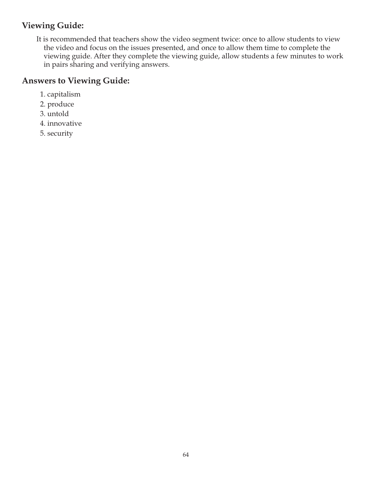## **Viewing Guide:**

It is recommended that teachers show the video segment twice: once to allow students to view the video and focus on the issues presented, and once to allow them time to complete the viewing guide. After they complete the viewing guide, allow students a few minutes to work in pairs sharing and verifying answers.

## **Answers to Viewing Guide:**

- 1. capitalism
- 2. produce
- 3. untold
- 4. innovative
- 5. security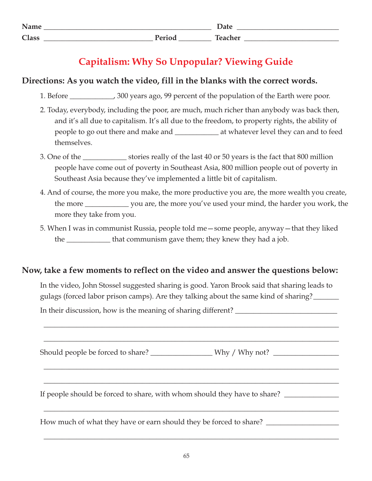| Name         |                                           | Dalc    |
|--------------|-------------------------------------------|---------|
| <b>Class</b> | $\mathbf{D}_{\text{out}}$<br>$\mathbf{u}$ | Toachor |

## **Capitalism: Why So Unpopular? Viewing Guide**

## **Directions: As you watch the video, fill in the blanks with the correct words.**

- 1. Before \_\_\_\_\_\_\_\_\_\_\_\_, 300 years ago, 99 percent of the population of the Earth were poor.
- 2. Today, everybody, including the poor, are much, much richer than anybody was back then, and it's all due to capitalism. It's all due to the freedom, to property rights, the ability of people to go out there and make and \_\_\_\_\_\_\_\_\_\_\_\_ at whatever level they can and to feed themselves.
- 3. One of the \_\_\_\_\_\_\_\_\_\_\_\_ stories really of the last 40 or 50 years is the fact that 800 million people have come out of poverty in Southeast Asia, 800 million people out of poverty in Southeast Asia because they've implemented a little bit of capitalism.
- 4. And of course, the more you make, the more productive you are, the more wealth you create, the more \_\_\_\_\_\_\_\_\_\_\_\_ you are, the more you've used your mind, the harder you work, the more they take from you.
- 5. When I was in communist Russia, people told me—some people, anyway—that they liked the \_\_\_\_\_\_\_\_\_\_\_\_ that communism gave them; they knew they had a job.

## **Now, take a few moments to reflect on the video and answer the questions below:**

In the video, John Stossel suggested sharing is good. Yaron Brook said that sharing leads to gulags (forced labor prison camps). Are they talking about the same kind of sharing?\_\_\_\_\_\_\_

\_\_\_\_\_\_\_\_\_\_\_\_\_\_\_\_\_\_\_\_\_\_\_\_\_\_\_\_\_\_\_\_\_\_\_\_\_\_\_\_\_\_\_\_\_\_\_\_\_\_\_\_\_\_\_\_\_\_\_\_\_\_\_\_\_\_\_\_\_\_\_\_\_\_\_\_\_\_\_\_\_

\_\_\_\_\_\_\_\_\_\_\_\_\_\_\_\_\_\_\_\_\_\_\_\_\_\_\_\_\_\_\_\_\_\_\_\_\_\_\_\_\_\_\_\_\_\_\_\_\_\_\_\_\_\_\_\_\_\_\_\_\_\_\_\_\_\_\_\_\_\_\_\_\_\_\_\_\_\_\_\_\_

\_\_\_\_\_\_\_\_\_\_\_\_\_\_\_\_\_\_\_\_\_\_\_\_\_\_\_\_\_\_\_\_\_\_\_\_\_\_\_\_\_\_\_\_\_\_\_\_\_\_\_\_\_\_\_\_\_\_\_\_\_\_\_\_\_\_\_\_\_\_\_\_\_\_\_\_\_\_\_\_\_

\_\_\_\_\_\_\_\_\_\_\_\_\_\_\_\_\_\_\_\_\_\_\_\_\_\_\_\_\_\_\_\_\_\_\_\_\_\_\_\_\_\_\_\_\_\_\_\_\_\_\_\_\_\_\_\_\_\_\_\_\_\_\_\_\_\_\_\_\_\_\_\_\_\_\_\_\_\_\_\_\_

\_\_\_\_\_\_\_\_\_\_\_\_\_\_\_\_\_\_\_\_\_\_\_\_\_\_\_\_\_\_\_\_\_\_\_\_\_\_\_\_\_\_\_\_\_\_\_\_\_\_\_\_\_\_\_\_\_\_\_\_\_\_\_\_\_\_\_\_\_\_\_\_\_\_\_\_\_\_\_\_\_

\_\_\_\_\_\_\_\_\_\_\_\_\_\_\_\_\_\_\_\_\_\_\_\_\_\_\_\_\_\_\_\_\_\_\_\_\_\_\_\_\_\_\_\_\_\_\_\_\_\_\_\_\_\_\_\_\_\_\_\_\_\_\_\_\_\_\_\_\_\_\_\_\_\_\_\_\_\_\_\_\_

In their discussion, how is the meaning of sharing different? \_\_\_\_\_\_\_\_\_\_\_\_\_\_\_\_\_\_\_

Should people be forced to share? \_\_\_\_\_\_\_\_\_\_\_\_\_\_\_\_\_ Why / Why not? \_\_\_\_\_\_\_\_\_\_\_\_\_\_\_\_\_\_

If people should be forced to share, with whom should they have to share? \_\_\_\_\_\_\_\_\_\_\_\_\_\_\_

How much of what they have or earn should they be forced to share?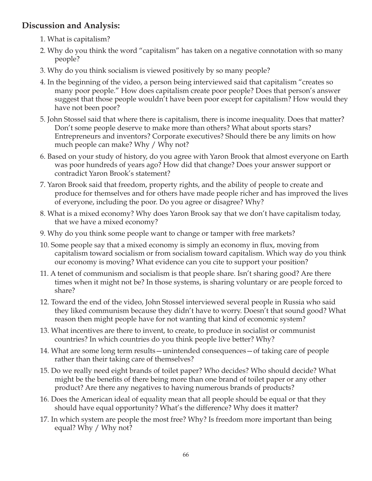## **Discussion and Analysis:**

- 1. What is capitalism?
- 2. Why do you think the word "capitalism" has taken on a negative connotation with so many people?
- 3. Why do you think socialism is viewed positively by so many people?
- 4. In the beginning of the video, a person being interviewed said that capitalism "creates so many poor people." How does capitalism create poor people? Does that person's answer suggest that those people wouldn't have been poor except for capitalism? How would they have not been poor?
- 5. John Stossel said that where there is capitalism, there is income inequality. Does that matter? Don't some people deserve to make more than others? What about sports stars? Entrepreneurs and inventors? Corporate executives? Should there be any limits on how much people can make? Why / Why not?
- 6. Based on your study of history, do you agree with Yaron Brook that almost everyone on Earth was poor hundreds of years ago? How did that change? Does your answer support or contradict Yaron Brook's statement?
- 7. Yaron Brook said that freedom, property rights, and the ability of people to create and produce for themselves and for others have made people richer and has improved the lives of everyone, including the poor. Do you agree or disagree? Why?
- 8. What is a mixed economy? Why does Yaron Brook say that we don't have capitalism today, that we have a mixed economy?
- 9. Why do you think some people want to change or tamper with free markets?
- 10. Some people say that a mixed economy is simply an economy in flux, moving from capitalism toward socialism or from socialism toward capitalism. Which way do you think our economy is moving? What evidence can you cite to support your position?
- 11. A tenet of communism and socialism is that people share. Isn't sharing good? Are there times when it might not be? In those systems, is sharing voluntary or are people forced to share?
- 12. Toward the end of the video, John Stossel interviewed several people in Russia who said they liked communism because they didn't have to worry. Doesn't that sound good? What reason then might people have for not wanting that kind of economic system?
- 13. What incentives are there to invent, to create, to produce in socialist or communist countries? In which countries do you think people live better? Why?
- 14. What are some long term results—unintended consequences—of taking care of people rather than their taking care of themselves?
- 15. Do we really need eight brands of toilet paper? Who decides? Who should decide? What might be the benefits of there being more than one brand of toilet paper or any other product? Are there any negatives to having numerous brands of products?
- 16. Does the American ideal of equality mean that all people should be equal or that they should have equal opportunity? What's the difference? Why does it matter?
- 17. In which system are people the most free? Why? Is freedom more important than being equal? Why / Why not?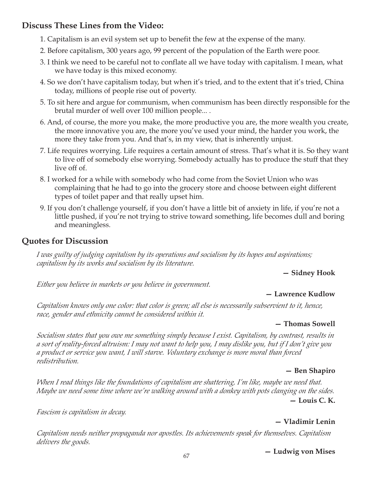## **Discuss These Lines from the Video:**

- 1. Capitalism is an evil system set up to benefit the few at the expense of the many.
- 2. Before capitalism, 300 years ago, 99 percent of the population of the Earth were poor.
- 3. I think we need to be careful not to conflate all we have today with capitalism. I mean, what we have today is this mixed economy.
- 4. So we don't have capitalism today, but when it's tried, and to the extent that it's tried, China today, millions of people rise out of poverty.
- 5. To sit here and argue for communism, when communism has been directly responsible for the brutal murder of well over 100 million people... .
- 6. And, of course, the more you make, the more productive you are, the more wealth you create, the more innovative you are, the more you've used your mind, the harder you work, the more they take from you. And that's, in my view, that is inherently unjust.
- 7. Life requires worrying. Life requires a certain amount of stress. That's what it is. So they want to live off of somebody else worrying. Somebody actually has to produce the stuff that they live off of.
- 8. I worked for a while with somebody who had come from the Soviet Union who was complaining that he had to go into the grocery store and choose between eight different types of toilet paper and that really upset him.
- 9. If you don't challenge yourself, if you don't have a little bit of anxiety in life, if you're not a little pushed, if you're not trying to strive toward something, life becomes dull and boring and meaningless.

## **Quotes for Discussion**

*I was guilty of judging capitalism by its operations and socialism by its hopes and aspirations; capitalism by its works and socialism by its literature.*

**— Sidney Hook**

*Either you believe in markets or you believe in government.*

## **— Lawrence Kudlow**

*Capitalism knows only one color: that color is green; all else is necessarily subservient to it, hence, race, gender and ethnicity cannot be considered within it.*

## **— Thomas Sowell**

*Socialism states that you owe me something simply because I exist. Capitalism, by contrast, results in a sort of reality-forced altruism: I may not want to help you, I may dislike you, but if I don't give you a product or service you want, I will starve. Voluntary exchange is more moral than forced redistribution.*

## **— Ben Shapiro**

*When I read things like the foundations of capitalism are shattering, I'm like, maybe we need that. Maybe we need some time where we're walking around with a donkey with pots clanging on the sides.* **— Louis C. K.**

*Fascism is capitalism in decay.*

## **— Vladimir Lenin**

*Capitalism needs neither propaganda nor apostles. Its achievements speak for themselves. Capitalism delivers the goods.*

**— Ludwig von Mises**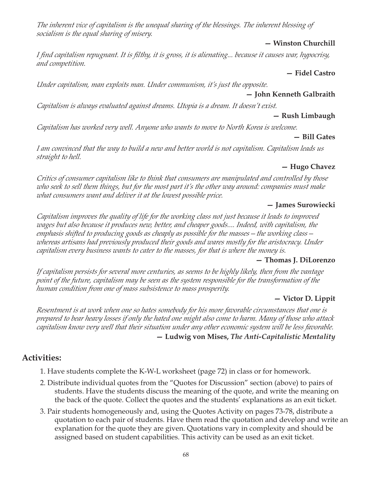*The inherent vice of capitalism is the unequal sharing of the blessings. The inherent blessing of socialism is the equal sharing of misery.*

#### **— Winston Churchill**

*I find capitalism repugnant. It is filthy, it is gross, it is alienating... because it causes war, hypocrisy, and competition.*

#### **— Fidel Castro**

*Under capitalism, man exploits man. Under communism, it's just the opposite.*

#### **— John Kenneth Galbraith**

*Capitalism is always evaluated against dreams. Utopia is a dream. It doesn't exist.*

#### **— Rush Limbaugh**

*Capitalism has worked very well. Anyone who wants to move to North Korea is welcome.*

#### **— Bill Gates**

*I am convinced that the way to build a new and better world is not capitalism. Capitalism leads us straight to hell.*

#### **— Hugo Chavez**

*Critics of consumer capitalism like to think that consumers are manipulated and controlled by those who seek to sell them things, but for the most part it's the other way around: companies must make what consumers want and deliver it at the lowest possible price.*

#### **— James Surowiecki**

*Capitalism improves the quality of life for the working class not just because it leads to improved wages but also because it produces new, better, and cheaper goods.... Indeed, with capitalism, the emphasis shifted to producing goods as cheaply as possible for the masses—the working class whereas artisans had previously produced their goods and wares mostly for the aristocracy. Under capitalism every business wants to cater to the masses, for that is where the money is.*

#### **— Thomas J. DiLorenzo**

*If capitalism persists for several more centuries, as seems to be highly likely, then from the vantage point of the future, capitalism may be seen as the system responsible for the transformation of the human condition from one of mass subsistence to mass prosperity.*

#### **— Victor D. Lippit**

*Resentment is at work when one so hates somebody for his more favorable circumstances that one is prepared to bear heavy losses if only the hated one might also come to harm. Many of those who attack capitalism know very well that their situation under any other economic system will be less favorable.* **— Ludwig von Mises,** *The Anti-Capitalistic Mentality*

## **Activities:**

- 1. Have students complete the K-W-L worksheet (page 72) in class or for homework.
- 2. Distribute individual quotes from the "Quotes for Discussion" section (above) to pairs of students. Have the students discuss the meaning of the quote, and write the meaning on the back of the quote. Collect the quotes and the students' explanations as an exit ticket.
- 3. Pair students homogeneously and, using the Quotes Activity on pages 73-78, distribute a quotation to each pair of students. Have them read the quotation and develop and write an explanation for the quote they are given. Quotations vary in complexity and should be assigned based on student capabilities. This activity can be used as an exit ticket.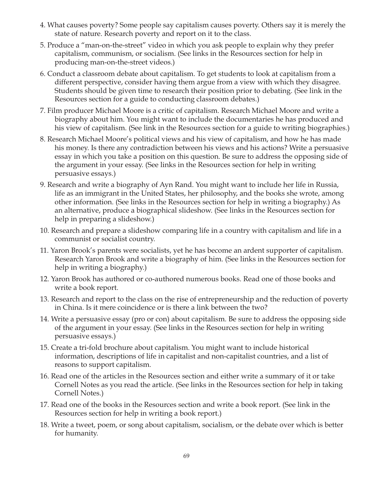- 4. What causes poverty? Some people say capitalism causes poverty. Others say it is merely the state of nature. Research poverty and report on it to the class.
- 5. Produce a "man-on-the-street" video in which you ask people to explain why they prefer capitalism, communism, or socialism. (See links in the Resources section for help in producing man-on-the-street videos.)
- 6. Conduct a classroom debate about capitalism. To get students to look at capitalism from a different perspective, consider having them argue from a view with which they disagree. Students should be given time to research their position prior to debating. (See link in the Resources section for a guide to conducting classroom debates.)
- 7. Film producer Michael Moore is a critic of capitalism. Research Michael Moore and write a biography about him. You might want to include the documentaries he has produced and his view of capitalism. (See link in the Resources section for a guide to writing biographies.)
- 8. Research Michael Moore's political views and his view of capitalism, and how he has made his money. Is there any contradiction between his views and his actions? Write a persuasive essay in which you take a position on this question. Be sure to address the opposing side of the argument in your essay. (See links in the Resources section for help in writing persuasive essays.)
- 9. Research and write a biography of Ayn Rand. You might want to include her life in Russia, life as an immigrant in the United States, her philosophy, and the books she wrote, among other information. (See links in the Resources section for help in writing a biography.) As an alternative, produce a biographical slideshow. (See links in the Resources section for help in preparing a slideshow.)
- 10. Research and prepare a slideshow comparing life in a country with capitalism and life in a communist or socialist country.
- 11. Yaron Brook's parents were socialists, yet he has become an ardent supporter of capitalism. Research Yaron Brook and write a biography of him. (See links in the Resources section for help in writing a biography.)
- 12. Yaron Brook has authored or co-authored numerous books. Read one of those books and write a book report.
- 13. Research and report to the class on the rise of entrepreneurship and the reduction of poverty in China. Is it mere coincidence or is there a link between the two?
- 14. Write a persuasive essay (pro or con) about capitalism. Be sure to address the opposing side of the argument in your essay. (See links in the Resources section for help in writing persuasive essays.)
- 15. Create a tri-fold brochure about capitalism. You might want to include historical information, descriptions of life in capitalist and non-capitalist countries, and a list of reasons to support capitalism.
- 16. Read one of the articles in the Resources section and either write a summary of it or take Cornell Notes as you read the article. (See links in the Resources section for help in taking Cornell Notes.)
- 17. Read one of the books in the Resources section and write a book report. (See link in the Resources section for help in writing a book report.)
- 18. Write a tweet, poem, or song about capitalism, socialism, or the debate over which is better for humanity.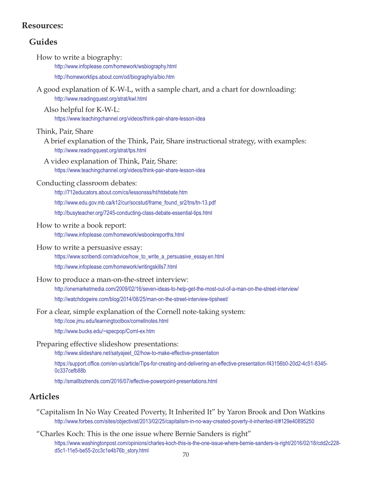### **Resources:**

## **Guides**

- How to write a biography: http://www.infoplease.com/homework/wsbiography.html http://homeworktips.about.com/od/biography/a/bio.htm
- A good explanation of K-W-L, with a sample chart, and a chart for downloading: http://www.readingquest.org/strat/kwl.html
	- Also helpful for K-W-L: https://www.teachingchannel.org/videos/think-pair-share-lesson-idea

#### Think, Pair, Share

- A brief explanation of the Think, Pair, Share instructional strategy, with examples: http://www.readingquest.org/strat/tps.html
- A video explanation of Think, Pair, Share: https://www.teachingchannel.org/videos/think-pair-share-lesson-idea

#### Conducting classroom debates:

http://712educators.about.com/cs/lessonsss/ht/htdebate.htm http://www.edu.gov.mb.ca/k12/cur/socstud/frame\_found\_sr2/tns/tn-13.pdf http://busyteacher.org/7245-conducting-class-debate-essential-tips.html

#### How to write a book report:

http://www.infoplease.com/homework/wsbookreporths.html

#### How to write a persuasive essay:

https://www.scribendi.com/advice/how\_to\_write\_a\_persuasive\_essay.en.html http://www.infoplease.com/homework/writingskills7.html

#### How to produce a man-on-the-street interview:

http://onemarketmedia.com/2009/02/16/seven-ideas-to-help-get-the-most-out-of-a-man-on-the-street-interview/ http://watchdogwire.com/blog/2014/08/25/man-on-the-street-interview-tipsheet/

#### For a clear, simple explanation of the Cornell note-taking system:

http://coe.jmu.edu/learningtoolbox/cornellnotes.html

http://www.bucks.edu/~specpop/Cornl-ex.htm

#### Preparing effective slideshow presentations:

http://www.slideshare.net/satyajeet\_02/how-to-make-effective-presentation

https://support.office.com/en-us/article/Tips-for-creating-and-delivering-an-effective-presentation-f43156b0-20d2-4c51-8345- 0c337cefb88b

http://smallbiztrends.com/2016/07/effective-powerpoint-presentations.html

## **Articles**

- "Capitalism In No Way Created Poverty, It Inherited It" by Yaron Brook and Don Watkins http://www.forbes.com/sites/objectivist/2013/02/25/capitalism-in-no-way-created-poverty-it-inherited-it/#129e40895250
- "Charles Koch: This is the one issue where Bernie Sanders is right" https://www.washingtonpost.com/opinions/charles-koch-this-is-the-one-issue-where-bernie-sanders-is-right/2016/02/18/cdd2c228 d5c1-11e5-be55-2cc3c1e4b76b\_story.html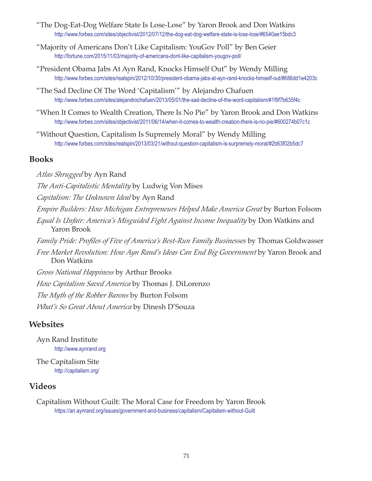- "The Dog-Eat-Dog Welfare State Is Lose-Lose" by Yaron Brook and Don Watkins http://www.forbes.com/sites/objectivist/2012/07/12/the-dog-eat-dog-welfare-state-is-lose-lose/#6540ae15bdc3
- "Majority of Americans Don't Like Capitalism: YouGov Poll" by Ben Geier http://fortune.com/2015/11/03/majority-of-americans-dont-like-capitalism-yougov-poll/
- "President Obama Jabs At Ayn Rand, Knocks Himself Out" by Wendy Milling http://www.forbes.com/sites/realspin/2012/10/30/president-obama-jabs-at-ayn-rand-knocks-himself-out/#686dd1e4203c
- "The Sad Decline Of The Word 'Capitalism'" by Alejandro Chafuen http://www.forbes.com/sites/alejandrochafuen/2013/05/01/the-sad-decline-of-the-word-capitalism/#1f9f7b635f4c
- "When It Comes to Wealth Creation, There Is No Pie" by Yaron Brook and Don Watkins http://www.forbes.com/sites/objectivist/2011/06/14/when-it-comes-to-wealth-creation-there-is-no-pie/#600274b07c1c
- "Without Question, Capitalism Is Supremely Moral" by Wendy Milling http://www.forbes.com/sites/realspin/2013/03/21/without-question-capitalism-is-surpremely-moral/#2b63f02b5dc7

#### **Books**

*Atlas Shrugged* by Ayn Rand *The Anti-Capitalistic Mentality* by Ludwig Von Mises *Capitalism: The Unknown Ideal* by Ayn Rand *Empire Builders: How Michigan Entrepreneurs Helped Make America Great* by Burton Folsom *Equal Is Unfair: America's Misguided Fight Against Income Inequality* by Don Watkins and Yaron Brook *Family Pride: Profiles of Five of America's Best-Run Family Businesses* by Thomas Goldwasser *Free Market Revolution: How Ayn Rand's Ideas Can End Big Government* by Yaron Brook and Don Watkins *Gross National Happiness* by Arthur Brooks *How Capitalism Saved America* by Thomas J. DiLorenzo *The Myth of the Robber Barons* by Burton Folsom *What's So Great About America* by Dinesh D'Souza

## **Websites**

Ayn Rand Institute http://www.aynrand.org

The Capitalism Site http://capitalism.org/

## **Videos**

Capitalism Without Guilt: The Moral Case for Freedom by Yaron Brook https://ari.aynrand.org/issues/government-and-business/capitalism/Capitalism-without-Guilt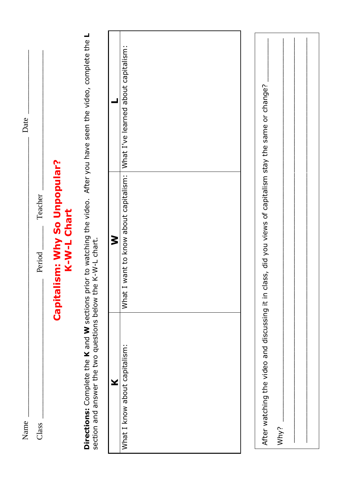| Name                                                        |                                                                                                                      | Date                                |
|-------------------------------------------------------------|----------------------------------------------------------------------------------------------------------------------|-------------------------------------|
| Class                                                       | Teacher<br>Period                                                                                                    |                                     |
|                                                             | ism: Why So Unpopular?<br>K-W-L Chart<br>Capital                                                                     |                                     |
| section and answer the two questions below the K-W-L chart. | Directions: Complete the K and W sections prior to watching the video. After you have seen the video, complete the L |                                     |
| ¥                                                           | ξ                                                                                                                    |                                     |
| What I know about capitalism:                               | want to know about capitalism:<br>What I                                                                             | What I've learned about capitalism: |
|                                                             |                                                                                                                      |                                     |
| After watching the video and discussing it in cl<br>Why?    | lass, did you views of capitalism stay the same or change?                                                           |                                     |
|                                                             |                                                                                                                      |                                     |
|                                                             |                                                                                                                      |                                     |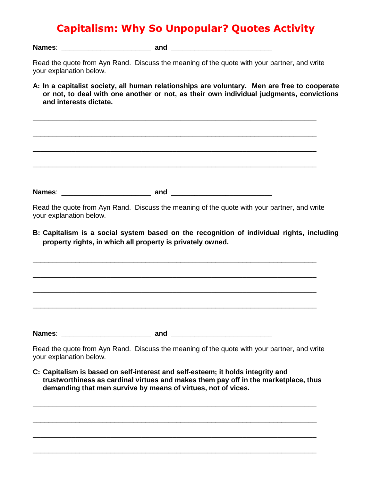## **Capitalism: Why So Unpopular? Quotes Activity**

**Names**: \_\_\_\_\_\_\_\_\_\_\_\_\_\_\_\_\_\_\_\_\_\_\_ **and** \_\_\_\_\_\_\_\_\_\_\_\_\_\_\_\_\_\_\_\_\_\_\_\_\_\_

Read the quote from Ayn Rand. Discuss the meaning of the quote with your partner, and write your explanation below.

- **A: In a capitalist society, all human relationships are voluntary. Men are free to cooperate or not, to deal with one another or not, as their own individual judgments, convictions and interests dictate.**
- \_\_\_\_\_\_\_\_\_\_\_\_\_\_\_\_\_\_\_\_\_\_\_\_\_\_\_\_\_\_\_\_\_\_\_\_\_\_\_\_\_\_\_\_\_\_\_\_\_\_\_\_\_\_\_\_\_\_\_\_\_\_\_\_\_\_\_\_\_\_\_\_\_ \_\_\_\_\_\_\_\_\_\_\_\_\_\_\_\_\_\_\_\_\_\_\_\_\_\_\_\_\_\_\_\_\_\_\_\_\_\_\_\_\_\_\_\_\_\_\_\_\_\_\_\_\_\_\_\_\_\_\_\_\_\_\_\_\_\_\_\_\_\_\_\_\_

\_\_\_\_\_\_\_\_\_\_\_\_\_\_\_\_\_\_\_\_\_\_\_\_\_\_\_\_\_\_\_\_\_\_\_\_\_\_\_\_\_\_\_\_\_\_\_\_\_\_\_\_\_\_\_\_\_\_\_\_\_\_\_\_\_\_\_\_\_\_\_\_\_

\_\_\_\_\_\_\_\_\_\_\_\_\_\_\_\_\_\_\_\_\_\_\_\_\_\_\_\_\_\_\_\_\_\_\_\_\_\_\_\_\_\_\_\_\_\_\_\_\_\_\_\_\_\_\_\_\_\_\_\_\_\_\_\_\_\_\_\_\_\_\_\_\_

**Names**: \_\_\_\_\_\_\_\_\_\_\_\_\_\_\_\_\_\_\_\_\_\_\_ **and** \_\_\_\_\_\_\_\_\_\_\_\_\_\_\_\_\_\_\_\_\_\_\_\_\_\_

Read the quote from Ayn Rand. Discuss the meaning of the quote with your partner, and write your explanation below.

\_\_\_\_\_\_\_\_\_\_\_\_\_\_\_\_\_\_\_\_\_\_\_\_\_\_\_\_\_\_\_\_\_\_\_\_\_\_\_\_\_\_\_\_\_\_\_\_\_\_\_\_\_\_\_\_\_\_\_\_\_\_\_\_\_\_\_\_\_\_\_\_\_

\_\_\_\_\_\_\_\_\_\_\_\_\_\_\_\_\_\_\_\_\_\_\_\_\_\_\_\_\_\_\_\_\_\_\_\_\_\_\_\_\_\_\_\_\_\_\_\_\_\_\_\_\_\_\_\_\_\_\_\_\_\_\_\_\_\_\_\_\_\_\_\_\_

\_\_\_\_\_\_\_\_\_\_\_\_\_\_\_\_\_\_\_\_\_\_\_\_\_\_\_\_\_\_\_\_\_\_\_\_\_\_\_\_\_\_\_\_\_\_\_\_\_\_\_\_\_\_\_\_\_\_\_\_\_\_\_\_\_\_\_\_\_\_\_\_\_

\_\_\_\_\_\_\_\_\_\_\_\_\_\_\_\_\_\_\_\_\_\_\_\_\_\_\_\_\_\_\_\_\_\_\_\_\_\_\_\_\_\_\_\_\_\_\_\_\_\_\_\_\_\_\_\_\_\_\_\_\_\_\_\_\_\_\_\_\_\_\_\_\_

**B: Capitalism is a social system based on the recognition of individual rights, including property rights, in which all property is privately owned.**

**Names**: \_\_\_\_\_\_\_\_\_\_\_\_\_\_\_\_\_\_\_\_\_\_\_ **and** \_\_\_\_\_\_\_\_\_\_\_\_\_\_\_\_\_\_\_\_\_\_\_\_\_\_

Read the quote from Ayn Rand. Discuss the meaning of the quote with your partner, and write your explanation below.

**C: Capitalism is based on self-interest and self-esteem; it holds integrity and trustworthiness as cardinal virtues and makes them pay off in the marketplace, thus demanding that men survive by means of virtues, not of vices.**

\_\_\_\_\_\_\_\_\_\_\_\_\_\_\_\_\_\_\_\_\_\_\_\_\_\_\_\_\_\_\_\_\_\_\_\_\_\_\_\_\_\_\_\_\_\_\_\_\_\_\_\_\_\_\_\_\_\_\_\_\_\_\_\_\_\_\_\_\_\_\_\_\_

\_\_\_\_\_\_\_\_\_\_\_\_\_\_\_\_\_\_\_\_\_\_\_\_\_\_\_\_\_\_\_\_\_\_\_\_\_\_\_\_\_\_\_\_\_\_\_\_\_\_\_\_\_\_\_\_\_\_\_\_\_\_\_\_\_\_\_\_\_\_\_\_\_

\_\_\_\_\_\_\_\_\_\_\_\_\_\_\_\_\_\_\_\_\_\_\_\_\_\_\_\_\_\_\_\_\_\_\_\_\_\_\_\_\_\_\_\_\_\_\_\_\_\_\_\_\_\_\_\_\_\_\_\_\_\_\_\_\_\_\_\_\_\_\_\_\_

\_\_\_\_\_\_\_\_\_\_\_\_\_\_\_\_\_\_\_\_\_\_\_\_\_\_\_\_\_\_\_\_\_\_\_\_\_\_\_\_\_\_\_\_\_\_\_\_\_\_\_\_\_\_\_\_\_\_\_\_\_\_\_\_\_\_\_\_\_\_\_\_\_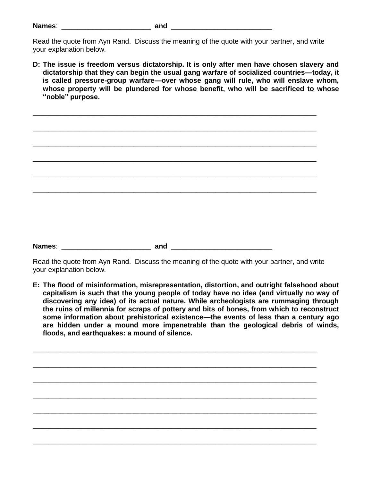| Name: |  |
|-------|--|
|       |  |

\_\_\_\_\_\_\_\_\_\_\_\_\_\_\_\_\_\_\_\_\_\_\_\_\_\_\_\_\_\_\_\_\_\_\_\_\_\_\_\_\_\_\_\_\_\_\_\_\_\_\_\_\_\_\_\_\_\_\_\_\_\_\_\_\_\_\_\_\_\_\_\_\_

\_\_\_\_\_\_\_\_\_\_\_\_\_\_\_\_\_\_\_\_\_\_\_\_\_\_\_\_\_\_\_\_\_\_\_\_\_\_\_\_\_\_\_\_\_\_\_\_\_\_\_\_\_\_\_\_\_\_\_\_\_\_\_\_\_\_\_\_\_\_\_\_\_

\_\_\_\_\_\_\_\_\_\_\_\_\_\_\_\_\_\_\_\_\_\_\_\_\_\_\_\_\_\_\_\_\_\_\_\_\_\_\_\_\_\_\_\_\_\_\_\_\_\_\_\_\_\_\_\_\_\_\_\_\_\_\_\_\_\_\_\_\_\_\_\_\_

\_\_\_\_\_\_\_\_\_\_\_\_\_\_\_\_\_\_\_\_\_\_\_\_\_\_\_\_\_\_\_\_\_\_\_\_\_\_\_\_\_\_\_\_\_\_\_\_\_\_\_\_\_\_\_\_\_\_\_\_\_\_\_\_\_\_\_\_\_\_\_\_\_

\_\_\_\_\_\_\_\_\_\_\_\_\_\_\_\_\_\_\_\_\_\_\_\_\_\_\_\_\_\_\_\_\_\_\_\_\_\_\_\_\_\_\_\_\_\_\_\_\_\_\_\_\_\_\_\_\_\_\_\_\_\_\_\_\_\_\_\_\_\_\_\_\_

\_\_\_\_\_\_\_\_\_\_\_\_\_\_\_\_\_\_\_\_\_\_\_\_\_\_\_\_\_\_\_\_\_\_\_\_\_\_\_\_\_\_\_\_\_\_\_\_\_\_\_\_\_\_\_\_\_\_\_\_\_\_\_\_\_\_\_\_\_\_\_\_\_

**D: The issue is freedom versus dictatorship. It is only after men have chosen slavery and dictatorship that they can begin the usual gang warfare of socialized countries—today, it is called pressure-group warfare—over whose gang will rule, who will enslave whom, whose property will be plundered for whose benefit, who will be sacrificed to whose "noble" purpose.**

**Names**: \_\_\_\_\_\_\_\_\_\_\_\_\_\_\_\_\_\_\_\_\_\_\_ **and** \_\_\_\_\_\_\_\_\_\_\_\_\_\_\_\_\_\_\_\_\_\_\_\_\_\_

Read the quote from Ayn Rand. Discuss the meaning of the quote with your partner, and write your explanation below.

**E: The flood of misinformation, misrepresentation, distortion, and outright falsehood about capitalism is such that the young people of today have no idea (and virtually no way of discovering any idea) of its actual nature. While archeologists are rummaging through the ruins of millennia for scraps of pottery and bits of bones, from which to reconstruct some information about prehistorical existence—the events of less than a century ago are hidden under a mound more impenetrable than the geological debris of winds, floods, and earthquakes: a mound of silence.**

\_\_\_\_\_\_\_\_\_\_\_\_\_\_\_\_\_\_\_\_\_\_\_\_\_\_\_\_\_\_\_\_\_\_\_\_\_\_\_\_\_\_\_\_\_\_\_\_\_\_\_\_\_\_\_\_\_\_\_\_\_\_\_\_\_\_\_\_\_\_\_\_\_

\_\_\_\_\_\_\_\_\_\_\_\_\_\_\_\_\_\_\_\_\_\_\_\_\_\_\_\_\_\_\_\_\_\_\_\_\_\_\_\_\_\_\_\_\_\_\_\_\_\_\_\_\_\_\_\_\_\_\_\_\_\_\_\_\_\_\_\_\_\_\_\_\_

\_\_\_\_\_\_\_\_\_\_\_\_\_\_\_\_\_\_\_\_\_\_\_\_\_\_\_\_\_\_\_\_\_\_\_\_\_\_\_\_\_\_\_\_\_\_\_\_\_\_\_\_\_\_\_\_\_\_\_\_\_\_\_\_\_\_\_\_\_\_\_\_\_

\_\_\_\_\_\_\_\_\_\_\_\_\_\_\_\_\_\_\_\_\_\_\_\_\_\_\_\_\_\_\_\_\_\_\_\_\_\_\_\_\_\_\_\_\_\_\_\_\_\_\_\_\_\_\_\_\_\_\_\_\_\_\_\_\_\_\_\_\_\_\_\_\_

\_\_\_\_\_\_\_\_\_\_\_\_\_\_\_\_\_\_\_\_\_\_\_\_\_\_\_\_\_\_\_\_\_\_\_\_\_\_\_\_\_\_\_\_\_\_\_\_\_\_\_\_\_\_\_\_\_\_\_\_\_\_\_\_\_\_\_\_\_\_\_\_\_

\_\_\_\_\_\_\_\_\_\_\_\_\_\_\_\_\_\_\_\_\_\_\_\_\_\_\_\_\_\_\_\_\_\_\_\_\_\_\_\_\_\_\_\_\_\_\_\_\_\_\_\_\_\_\_\_\_\_\_\_\_\_\_\_\_\_\_\_\_\_\_\_\_

\_\_\_\_\_\_\_\_\_\_\_\_\_\_\_\_\_\_\_\_\_\_\_\_\_\_\_\_\_\_\_\_\_\_\_\_\_\_\_\_\_\_\_\_\_\_\_\_\_\_\_\_\_\_\_\_\_\_\_\_\_\_\_\_\_\_\_\_\_\_\_\_\_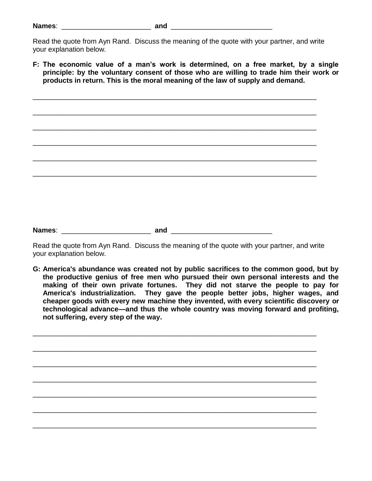\_\_\_\_\_\_\_\_\_\_\_\_\_\_\_\_\_\_\_\_\_\_\_\_\_\_\_\_\_\_\_\_\_\_\_\_\_\_\_\_\_\_\_\_\_\_\_\_\_\_\_\_\_\_\_\_\_\_\_\_\_\_\_\_\_\_\_\_\_\_\_\_\_

\_\_\_\_\_\_\_\_\_\_\_\_\_\_\_\_\_\_\_\_\_\_\_\_\_\_\_\_\_\_\_\_\_\_\_\_\_\_\_\_\_\_\_\_\_\_\_\_\_\_\_\_\_\_\_\_\_\_\_\_\_\_\_\_\_\_\_\_\_\_\_\_\_

\_\_\_\_\_\_\_\_\_\_\_\_\_\_\_\_\_\_\_\_\_\_\_\_\_\_\_\_\_\_\_\_\_\_\_\_\_\_\_\_\_\_\_\_\_\_\_\_\_\_\_\_\_\_\_\_\_\_\_\_\_\_\_\_\_\_\_\_\_\_\_\_\_

\_\_\_\_\_\_\_\_\_\_\_\_\_\_\_\_\_\_\_\_\_\_\_\_\_\_\_\_\_\_\_\_\_\_\_\_\_\_\_\_\_\_\_\_\_\_\_\_\_\_\_\_\_\_\_\_\_\_\_\_\_\_\_\_\_\_\_\_\_\_\_\_\_

\_\_\_\_\_\_\_\_\_\_\_\_\_\_\_\_\_\_\_\_\_\_\_\_\_\_\_\_\_\_\_\_\_\_\_\_\_\_\_\_\_\_\_\_\_\_\_\_\_\_\_\_\_\_\_\_\_\_\_\_\_\_\_\_\_\_\_\_\_\_\_\_\_

\_\_\_\_\_\_\_\_\_\_\_\_\_\_\_\_\_\_\_\_\_\_\_\_\_\_\_\_\_\_\_\_\_\_\_\_\_\_\_\_\_\_\_\_\_\_\_\_\_\_\_\_\_\_\_\_\_\_\_\_\_\_\_\_\_\_\_\_\_\_\_\_\_

**F: The economic value of a man's work is determined, on a free market, by a single principle: by the voluntary consent of those who are willing to trade him their work or products in return. This is the moral meaning of the law of supply and demand.**

**Names**: \_\_\_\_\_\_\_\_\_\_\_\_\_\_\_\_\_\_\_\_\_\_\_ **and** \_\_\_\_\_\_\_\_\_\_\_\_\_\_\_\_\_\_\_\_\_\_\_\_\_\_

Read the quote from Ayn Rand. Discuss the meaning of the quote with your partner, and write your explanation below.

**G: America's abundance was created not by public sacrifices to the common good, but by the productive genius of free men who pursued their own personal interests and the making of their own private fortunes. They did not starve the people to pay for America's industrialization. They gave the people better jobs, higher wages, and cheaper goods with every new machine they invented, with every scientific discovery or technological advance—and thus the whole country was moving forward and profiting, not suffering, every step of the way.**

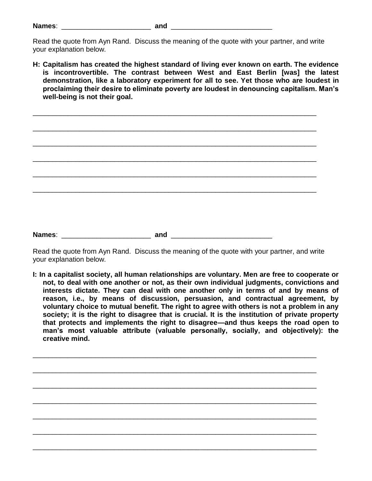| Name: |  |
|-------|--|
|       |  |

\_\_\_\_\_\_\_\_\_\_\_\_\_\_\_\_\_\_\_\_\_\_\_\_\_\_\_\_\_\_\_\_\_\_\_\_\_\_\_\_\_\_\_\_\_\_\_\_\_\_\_\_\_\_\_\_\_\_\_\_\_\_\_\_\_\_\_\_\_\_\_\_\_

\_\_\_\_\_\_\_\_\_\_\_\_\_\_\_\_\_\_\_\_\_\_\_\_\_\_\_\_\_\_\_\_\_\_\_\_\_\_\_\_\_\_\_\_\_\_\_\_\_\_\_\_\_\_\_\_\_\_\_\_\_\_\_\_\_\_\_\_\_\_\_\_\_

\_\_\_\_\_\_\_\_\_\_\_\_\_\_\_\_\_\_\_\_\_\_\_\_\_\_\_\_\_\_\_\_\_\_\_\_\_\_\_\_\_\_\_\_\_\_\_\_\_\_\_\_\_\_\_\_\_\_\_\_\_\_\_\_\_\_\_\_\_\_\_\_\_

\_\_\_\_\_\_\_\_\_\_\_\_\_\_\_\_\_\_\_\_\_\_\_\_\_\_\_\_\_\_\_\_\_\_\_\_\_\_\_\_\_\_\_\_\_\_\_\_\_\_\_\_\_\_\_\_\_\_\_\_\_\_\_\_\_\_\_\_\_\_\_\_\_

\_\_\_\_\_\_\_\_\_\_\_\_\_\_\_\_\_\_\_\_\_\_\_\_\_\_\_\_\_\_\_\_\_\_\_\_\_\_\_\_\_\_\_\_\_\_\_\_\_\_\_\_\_\_\_\_\_\_\_\_\_\_\_\_\_\_\_\_\_\_\_\_\_

\_\_\_\_\_\_\_\_\_\_\_\_\_\_\_\_\_\_\_\_\_\_\_\_\_\_\_\_\_\_\_\_\_\_\_\_\_\_\_\_\_\_\_\_\_\_\_\_\_\_\_\_\_\_\_\_\_\_\_\_\_\_\_\_\_\_\_\_\_\_\_\_\_

**H: Capitalism has created the highest standard of living ever known on earth. The evidence is incontrovertible. The contrast between West and East Berlin [was] the latest demonstration, like a laboratory experiment for all to see. Yet those who are loudest in proclaiming their desire to eliminate poverty are loudest in denouncing capitalism. Man's well-being is not their goal.**

**Names**: \_\_\_\_\_\_\_\_\_\_\_\_\_\_\_\_\_\_\_\_\_\_\_ **and** \_\_\_\_\_\_\_\_\_\_\_\_\_\_\_\_\_\_\_\_\_\_\_\_\_\_

Read the quote from Ayn Rand. Discuss the meaning of the quote with your partner, and write your explanation below.

**I: In a capitalist society, all human relationships are voluntary. Men are free to cooperate or not, to deal with one another or not, as their own individual judgments, convictions and interests dictate. They can deal with one another only in terms of and by means of reason, i.e., by means of discussion, persuasion, and contractual agreement, by voluntary choice to mutual benefit. The right to agree with others is not a problem in any society; it is the right to disagree that is crucial. It is the institution of private property that protects and implements the right to disagree—and thus keeps the road open to man's most valuable attribute (valuable personally, socially, and objectively): the creative mind.**

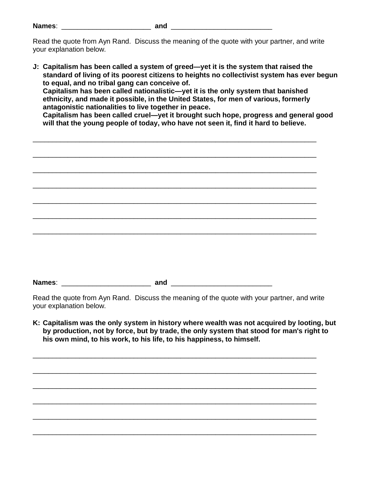| Names: |  |  |  |
|--------|--|--|--|
|        |  |  |  |

**J: Capitalism has been called a system of greed—yet it is the system that raised the standard of living of its poorest citizens to heights no collectivist system has ever begun to equal, and no tribal gang can conceive of. Capitalism has been called nationalistic—yet it is the only system that banished ethnicity, and made it possible, in the United States, for men of various, formerly antagonistic nationalities to live together in peace. Capitalism has been called cruel—yet it brought such hope, progress and general good will that the young people of today, who have not seen it, find it hard to believe.**

\_\_\_\_\_\_\_\_\_\_\_\_\_\_\_\_\_\_\_\_\_\_\_\_\_\_\_\_\_\_\_\_\_\_\_\_\_\_\_\_\_\_\_\_\_\_\_\_\_\_\_\_\_\_\_\_\_\_\_\_\_\_\_\_\_\_\_\_\_\_\_\_\_

\_\_\_\_\_\_\_\_\_\_\_\_\_\_\_\_\_\_\_\_\_\_\_\_\_\_\_\_\_\_\_\_\_\_\_\_\_\_\_\_\_\_\_\_\_\_\_\_\_\_\_\_\_\_\_\_\_\_\_\_\_\_\_\_\_\_\_\_\_\_\_\_\_

\_\_\_\_\_\_\_\_\_\_\_\_\_\_\_\_\_\_\_\_\_\_\_\_\_\_\_\_\_\_\_\_\_\_\_\_\_\_\_\_\_\_\_\_\_\_\_\_\_\_\_\_\_\_\_\_\_\_\_\_\_\_\_\_\_\_\_\_\_\_\_\_\_

\_\_\_\_\_\_\_\_\_\_\_\_\_\_\_\_\_\_\_\_\_\_\_\_\_\_\_\_\_\_\_\_\_\_\_\_\_\_\_\_\_\_\_\_\_\_\_\_\_\_\_\_\_\_\_\_\_\_\_\_\_\_\_\_\_\_\_\_\_\_\_\_\_ \_\_\_\_\_\_\_\_\_\_\_\_\_\_\_\_\_\_\_\_\_\_\_\_\_\_\_\_\_\_\_\_\_\_\_\_\_\_\_\_\_\_\_\_\_\_\_\_\_\_\_\_\_\_\_\_\_\_\_\_\_\_\_\_\_\_\_\_\_\_\_\_\_ \_\_\_\_\_\_\_\_\_\_\_\_\_\_\_\_\_\_\_\_\_\_\_\_\_\_\_\_\_\_\_\_\_\_\_\_\_\_\_\_\_\_\_\_\_\_\_\_\_\_\_\_\_\_\_\_\_\_\_\_\_\_\_\_\_\_\_\_\_\_\_\_\_ \_\_\_\_\_\_\_\_\_\_\_\_\_\_\_\_\_\_\_\_\_\_\_\_\_\_\_\_\_\_\_\_\_\_\_\_\_\_\_\_\_\_\_\_\_\_\_\_\_\_\_\_\_\_\_\_\_\_\_\_\_\_\_\_\_\_\_\_\_\_\_\_\_ **Names**: \_\_\_\_\_\_\_\_\_\_\_\_\_\_\_\_\_\_\_\_\_\_\_ **and** \_\_\_\_\_\_\_\_\_\_\_\_\_\_\_\_\_\_\_\_\_\_\_\_\_\_

Read the quote from Ayn Rand. Discuss the meaning of the quote with your partner, and write your explanation below.

**K: Capitalism was the only system in history where wealth was not acquired by looting, but by production, not by force, but by trade, the only system that stood for man's right to his own mind, to his work, to his life, to his happiness, to himself.**